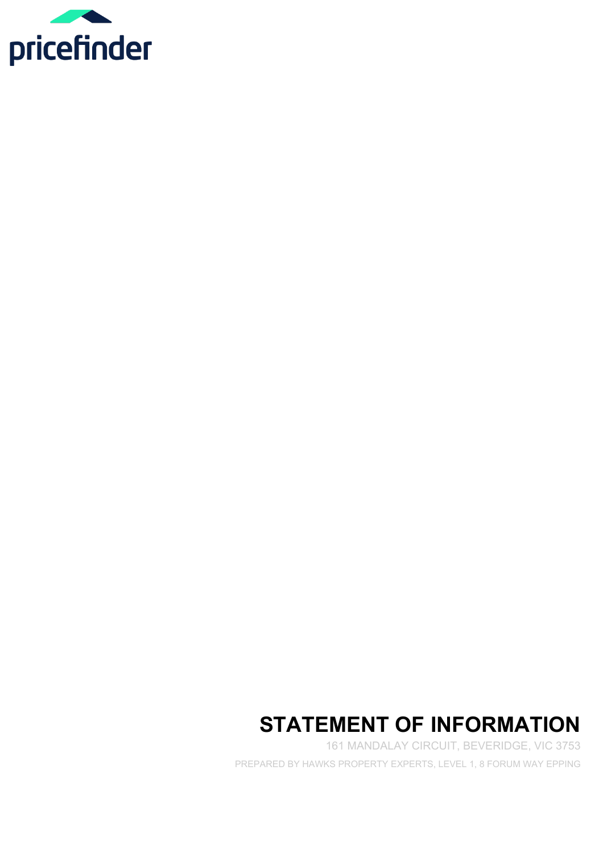

# **STATEMENT OF INFORMATION**

161 MANDALAY CIRCUIT, BEVERIDGE, VIC 3753 PREPARED BY HAWKS PROPERTY EXPERTS, LEVEL 1, 8 FORUM WAY EPPING